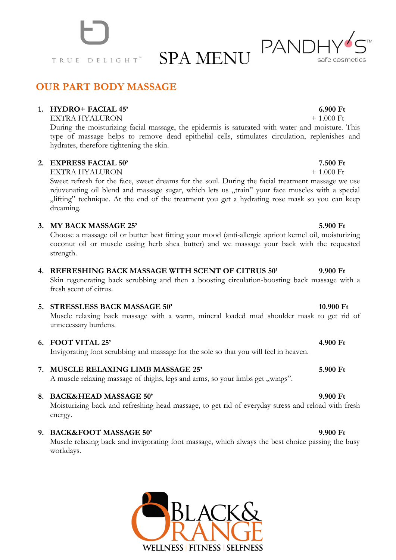TRUE DELIGHT

**OUR PART BODY MASSAGE**

### **1. HYDRO+ FACIAL 45' 6.900 Ft**

EXTRA HYALURON + 1.000 Ft

During the moisturizing facial massage, the epidermis is saturated with water and moisture. This type of massage helps to remove dead epithelial cells, stimulates circulation, replenishes and hydrates, therefore tightening the skin.

## **2. EXPRESS FACIAL 50' 7.500 Ft**

EXTRA HYALURON + 1.000 Ft

Sweet refresh for the face, sweet dreams for the soul. During the facial treatment massage we use rejuvenating oil blend and massage sugar, which lets us "train" your face muscles with a special "lifting" technique. At the end of the treatment you get a hydrating rose mask so you can keep dreaming.

## **3. MY BACK MASSAGE 25' 5.900 Ft**

Choose a massage oil or butter best fitting your mood (anti-allergic apricot kernel oil, moisturizing coconut oil or muscle easing herb shea butter) and we massage your back with the requested strength.

## **4. REFRESHING BACK MASSAGE WITH SCENT OF CITRUS 50' 9.900 Ft**

Skin regenerating back scrubbing and then a boosting circulation-boosting back massage with a fresh scent of citrus.

### **5. STRESSLESS BACK MASSAGE 50' 10.900 Ft**

Muscle relaxing back massage with a warm, mineral loaded mud shoulder mask to get rid of unnecessary burdens.

### **6. FOOT VITAL 25' 4.900 Ft**

Invigorating foot scrubbing and massage for the sole so that you will feel in heaven.

## **7. MUSCLE RELAXING LIMB MASSAGE 25' 5.900 Ft**

A muscle relaxing massage of thighs, legs and arms, so your limbs get "wings".

## **8. BACK&HEAD MASSAGE 50' 9.900 Ft**

Moisturizing back and refreshing head massage, to get rid of everyday stress and reload with fresh energy.

## **9. BACK&FOOT MASSAGE 50' 9.900 Ft**

Muscle relaxing back and invigorating foot massage, which always the best choice passing the busy workdays.

WELLNESS | FITNESS | SELFNESS



SPA MENU PANDI safe cosmetics